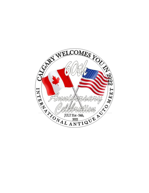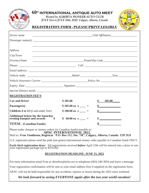

### **60th INTERNATIONAL ANTIQUE AUTO MEET** Hosted by ALBERTA PIONEER AUTO CLUB

JULY 21st to JULY 24th, 2022 Calgary, Alberta, Canada



#### REGISTRATION FORM - PLEASE PRINT LEGIBLY

| Driver name                                                                                                                                                 | $\frac{1}{\sqrt{1-\frac{1}{2}}\left 1-\frac{1}{2}\right ^{2}}$ $\frac{1}{\sqrt{1-\frac{1}{2}}\left 1-\frac{1}{2}\right ^{2}}$ $\frac{1}{\sqrt{1-\frac{1}{2}}\left 1-\frac{1}{2}\right ^{2}}$ $\frac{1}{\sqrt{1-\frac{1}{2}}\left 1-\frac{1}{2}\right ^{2}}$ |                                                             |
|-------------------------------------------------------------------------------------------------------------------------------------------------------------|-------------------------------------------------------------------------------------------------------------------------------------------------------------------------------------------------------------------------------------------------------------|-------------------------------------------------------------|
|                                                                                                                                                             |                                                                                                                                                                                                                                                             |                                                             |
|                                                                                                                                                             |                                                                                                                                                                                                                                                             |                                                             |
| <b>Address</b>                                                                                                                                              |                                                                                                                                                                                                                                                             |                                                             |
| City/Town                                                                                                                                                   |                                                                                                                                                                                                                                                             | <u> 1989 - Johann Stoff, amerikansk politiker (d. 1989)</u> |
| Province/State                                                                                                                                              | Postal/Zip Code                                                                                                                                                                                                                                             |                                                             |
|                                                                                                                                                             |                                                                                                                                                                                                                                                             |                                                             |
|                                                                                                                                                             |                                                                                                                                                                                                                                                             |                                                             |
|                                                                                                                                                             |                                                                                                                                                                                                                                                             |                                                             |
|                                                                                                                                                             |                                                                                                                                                                                                                                                             |                                                             |
|                                                                                                                                                             |                                                                                                                                                                                                                                                             |                                                             |
|                                                                                                                                                             |                                                                                                                                                                                                                                                             |                                                             |
| <b>REGISTRATION FEE'S</b>                                                                                                                                   |                                                                                                                                                                                                                                                             |                                                             |
| <b>Car and Driver</b>                                                                                                                                       | \$185.00                                                                                                                                                                                                                                                    | \$<br>185.00                                                |
| Passenger(s)                                                                                                                                                | $$185.00$ ea x ____ =                                                                                                                                                                                                                                       | $\sim$                                                      |
| <b>Children 4 to 12</b> (3 and under free)                                                                                                                  | $$100.00$ ea x ____ =                                                                                                                                                                                                                                       | $\sim$ $\sim$                                               |
| Additional tickets for the Saturday<br>evening banquet and awards \$                                                                                        | \$ 60.00 ea x $=$                                                                                                                                                                                                                                           | $\sim$ $\sim$                                               |
| <b>TOTAL</b> (Canadian Funds)                                                                                                                               |                                                                                                                                                                                                                                                             | $\frac{1}{2}$                                               |
| Please make cheques or money orders (in Canadian funds) payable to:<br>APAC INTERNATIONAL 2022.                                                             |                                                                                                                                                                                                                                                             |                                                             |
| Mail to: Fran Tomlinson, Registrar P.O. Box 111, Stn. "M", Calgary, Alberta, Canada T2P 2G9                                                                 |                                                                                                                                                                                                                                                             |                                                             |
| U.S. registrants please send the pink (not green) international money order payable in Canadian funds ONLY.                                                 |                                                                                                                                                                                                                                                             |                                                             |
| Early bird registration draw: All registrations received before April 15th will be entered into a draw to win<br>your registration package (up to \$370.00) |                                                                                                                                                                                                                                                             |                                                             |
|                                                                                                                                                             | <b>REGISTRATION DEADLINE: JUNE 15, 2022</b>                                                                                                                                                                                                                 |                                                             |
| For more information email Fran at rftomlins@telus.net or telephone (403) 249-3954 and leave a message.                                                     |                                                                                                                                                                                                                                                             |                                                             |
| Your registration confirmation will be sent to your email address first if supplied on the registration form.                                               |                                                                                                                                                                                                                                                             |                                                             |

APAC will not be held responsible for any accidents, injuries or losses during the 2022 tours weekend.

*We look forward to seeing EVERYONE again after the two year world vacation!*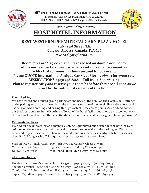

**60th INTERNATIONAL ANTIQUE AUTO MEET** Hosted by ALBERTA PIONEER AUTO CLUB JULY 21st to JULY 24th, 2022 Calgary, Alberta, Canada



به به به به نه ک

## **HOST HOTEL INFORMATION**

### **BEST WESTERN PREMIER CALGARY PLAZA HOTEL**

**1316 ‐ 33rd Street N.E. Calgary, Alberta, Canada T2A 6B6 www.calgaryplaza.com**

**Room rates are \$129.00 /night + taxes based on double occupancy. All rooms feature two queen size beds and convenience amenities. A block of 40 rooms has been secured for our event. Please QUOTE International Antique Car Meet Block # 167703 for event rate. RESERVATIONS: (403) 248‐8888 Toll free 1‐800‐661‐1464. Plan to register early** *and* **reserve your room(s) before they are all gone as we won't be the only guests staying at this hotel! \_\_\_\_\_\_\_\_\_\_\_\_\_\_\_\_\_\_\_\_\_\_\_\_\_\_\_\_\_\_\_\_\_\_\_\_\_\_\_\_\_\_\_\_\_\_\_\_\_\_\_\_\_\_\_\_\_\_\_\_\_\_\_\_\_\_**

#### **Event Parking:**

We have fenced and secured group parking around back of the hotel on the North side. Entrance to the parking lot can be made on both the east and west side of the hotel. Please slow down and use caution when entering and exiting through each of these access points. As an added bonus, our block of rooms are in the Northwest Tower of the hotel facility and allows us to look out over the parking lot and view all the cars attending the event ‐also makes for a great photo opportunity!

#### **Car Wash Facilities**

Plain water bucket washing and chamois cleaning is permitted but a reminder the hotel has a re‐ striction on the use of soaps and chemicals to clean the cars while in the parking lot Please observe and respect these rules. There are several wand wash facilities nearby as listed. Please use them if a full "bug wash‐off" is required after the days tours are completed.

|                      | Starburst Car & Truck Wash 2535 - 7th Ave NE Calgary Closes at 7 pm. |
|----------------------|----------------------------------------------------------------------|
| Crossroads Coin Wash | 2333 - 18th Ave NE Calgary Closes at 9 pm.                           |
| 24 HOUR Car Wash     | 3322 - 32nd Street NE Calgary Open 24 hours                          |

#### **Alternate Hotels:**

Holiday Inn 1250 McKinnon Dr. NE Calgary 403-230-1999 (1-866-306-0940) Sheraton Cavalier 2620-32nd Ave NE Calgary 403-291-0107 TF-1-403-291-0192 Comfort Inn & Suites 3111‐26 St. NE Calgary 403‐735‐1966 (1‐866‐789‐2581) Super 8 Wyndham 3030 Barlow Tr. NE Calgary 403-291-9888 (1-866-850-3050)